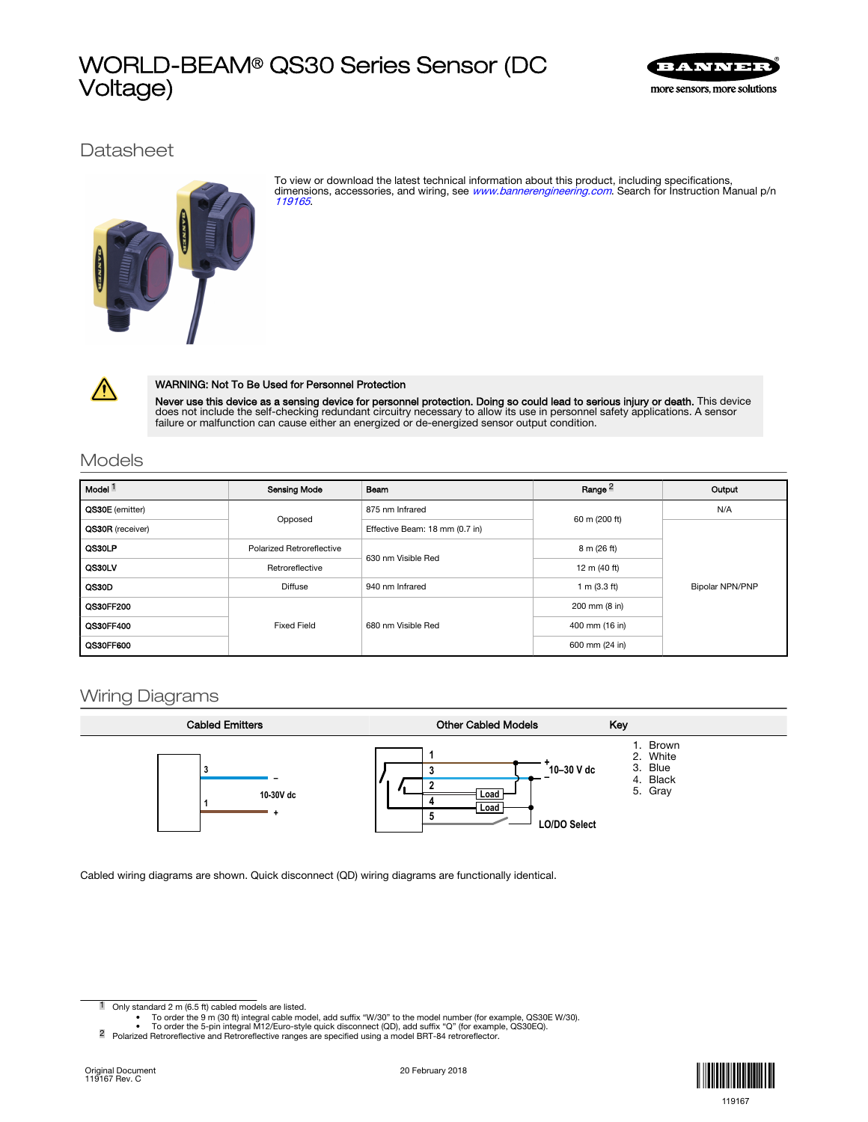# WORLD-BEAM® QS30 Series Sensor (DC Voltage)



**Datasheet** 



To view or download the latest technical information about this product, including specifications, dimensions, accessories, and wiring, see [www.bannerengineering.com](http://www.bannerengineering.com). Search for Instruction Manual p/n [119165](http://info.bannersalesforce.com/intradoc-cgi/nph-idc_cgi.exe?IdcService=GET_FILE&dDocName=119165&RevisionSelectionMethod=Latest&Rendition=web).



### WARNING: Not To Be Used for Personnel Protection

**Never use this device as a sensing device for personnel protection. Doing so could lead to serious injury or death.** This device<br>does not include the self-checking redundant circuitry necessary to allow its use in personn

## Models

| Model <sup>1</sup> | <b>Sensing Mode</b>       | Beam                           | Range <sup>2</sup>     | Output          |
|--------------------|---------------------------|--------------------------------|------------------------|-----------------|
| QS30E (emitter)    | Opposed                   | 875 nm Infrared                | 60 m (200 ft)          | N/A             |
| QS30R (receiver)   |                           | Effective Beam: 18 mm (0.7 in) |                        |                 |
| QS30LP             | Polarized Retroreflective | 630 nm Visible Red             | 8 m (26 ft)            |                 |
| QS30LV             | Retroreflective           |                                | 12 m (40 ft)           |                 |
| QS30D              | <b>Diffuse</b>            | 940 nm Infrared                | 1 m $(3.3 \text{ ft})$ | Bipolar NPN/PNP |
| QS30FF200          | <b>Fixed Field</b>        | 680 nm Visible Red             | 200 mm (8 in)          |                 |
| <b>QS30FF400</b>   |                           |                                | 400 mm (16 in)         |                 |
| QS30FF600          |                           |                                | 600 mm (24 in)         |                 |

## Wiring Diagrams



Cabled wiring diagrams are shown. Quick disconnect (QD) wiring diagrams are functionally identical.

1 Only standard 2 m (6.5 ft) cabled models are listed.



<sup>•</sup> To order the 9 m (30 ft) integral cable model, add suffix "W/30" to the model number (for example, QS30E W/30).<br>• To order the 5-pin integral M12/Euro-style quick disconnect (QD), add suffix "Q" (for example, QS30EQ).<br>